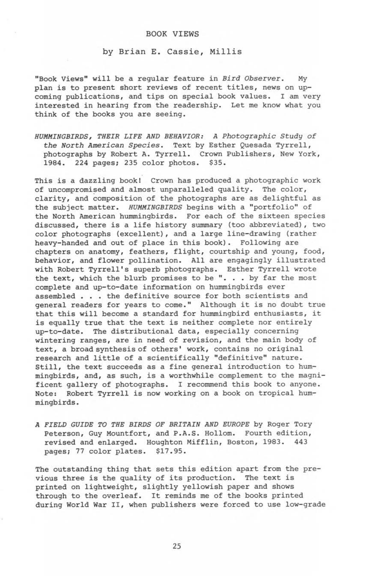### **BOOK VIEWS**

#### **by Brian E. Cassie, Millis**

"Book views" will be a regular feature in *Bird Observer.* My plan is to present short reviews of recent titles, news on upcoming publications, and tips on special book values. I am very interested in hearing from the readership. Let me know what you think of the books you are seeing.

*HUMMINGBIRDS, THEIR LIFE AND BEHAVIOR: A Photographic Study of the North American Species.* Text by Esther Quesada Tyrrell, photographs by Robert A. Tyrrell. Crown Publishers, New York, 1984. 224 pages; 235 color photos. \$35.

This is a dazzling book! Crown has produced a photographic work of uncompromised and almost unparalleled quality. The color, clarity, and composition of the photographs are as delightful as the subject matter. *HUMMINGBIRDS* begins with a "portfolio" of the North American hummingbirds. For each of the sixteen species discussed, there is a life history summary (too abbreviated), two color photographs (excellent), and a large line-drawing (rather heavy-handed and out of place in this book). Following are chapters on anatomy, feathers, flight, courtship and young, food, behavior, and flower pollination. All are engagingly illustrated with Robert Tyrrell's superb photographs. Esther Tyrrell wrote the text, which the blurb promises to be ". . . by far the most complete and up-to-date information on hummingbirds ever assembled . . . the definitive source for both scientists and general readers for years to come." Although it is no doubt true that this will become a standard for hummingbird enthusiasts, it is equally true that the text is neither complete nor entirely up-to-date. The distributional data, especially concerning wintering ranges, are in need of revision, and the main body of text, a broad synthesis of others' work, contains no original research and little of a scientifically "definitive" nature. Still, the text succeeds as a fine general introduction to hummingbirds, and, as such, is a worthwhile complement to the magnificent gallery of photographs. I recommend this book to anyone. Note: Robert Tyrrell is now working on a book on tropical hummingbirds.

*A FIELD GUIDE TO THE BIRDS OF BRITAIN AND EUROPE* by Roger Tory Peterson, Guy Mountfort, and P.A.S. Hollom. Fourth edition, revised and enlarged. Houghton Mifflin, Boston, 1983. 443 pages; 77 color plates. \$17.95.

The outstanding thing that sets this edition apart from the previous three is the quality of its production. The text is printed on lightweight, slightly yellowish paper and shows through to the overleaf. It reminds me of the books printed during World War II, when publishers were forced to use low-grade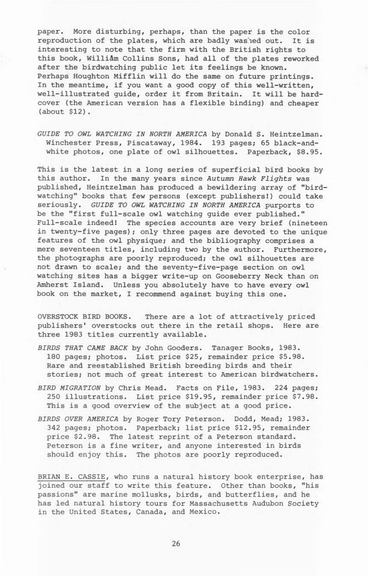paper. More disturbing, perhaps, than the paper is the color reproduction of the plates, which are badly washed out. It is interesting to note that the firm with the British rights to this book, William Collins Sons, had all of the plates reworked after the birdwatching public let its feelings be known. Perhaps Houghton Mifflin will do the same on future printings. In the meantime, if you want a good copy of this well-written, well-illustrated guide, order it from Britain. It will be hardcover (the American version has a flexible binding) and cheaper (about \$12).

*GUIDE TO OWL WATCHING IN NORTH AMERICA* by Donald S. Heintzelman. Winchester Press, Piscataway, 1984. 193 pages; 65 black-andwhite photos, one plate of owl silhouettes. Paperback, \$8.95.

This is the latest in a long series of superficial bird books by this author. In the many years since *Autumn Hawk Flights* was published, Heintzelman has produced a bewildering array of "birdwatching" books that few persons (except publishers!) could take seriously. *GUIDE TO OWL WATCHING IN NORTH AMERICA* purports to be the "first full-scale owl watching guide ever published." Full-scale indeed! The species accounts are very brief (nineteen in twenty-five pages); only three pages are devoted to the unique features of the owl physique; and the bibliography comprises a mere seventeen titles, including two by the author. Furthermore, the photographs are poorly reproduced; the owl silhouettes are not drawn to scale; and the seventy-five-page section on owl watching sites has a bigger write-up on Gooseberry Neck than on Amherst Island. Unless you absolutely have to have every owl book on the market, I recommend against buying this one.

OVERSTOCK BIRD BOOKS. There are a lot of attractively priced publishers' overstocks out there in the retail shops. Here are three 1983 titles currently available.

- *BIRDS THAT CAME BACK* by John Gooders. Tanager Books, 1983. 180 pages; photos. List price \$25, remainder price \$5.98. Rare and reestablished British breeding birds and their stories; not much of great interest to American birdwatchers.
- *BIRD MIGRATION* by Chris Mead. Facts on File, 1983. 224 pages; 250 illustrations. List price \$19.95, remainder price \$7.98. This is a good overview of the subject at a good price.
- *BIRDS OVER AMERICA* by Roger Tory Peterson. Dodd, Mead; 1983. 342 pages; photos. Paperback; list price \$12.95, remainder price \$2.98. The latest reprint of a Peterson standard. Peterson is a fine writer, and anyone interested in birds should enjoy this. The photos are poorly reproduced.

BRIAN E. CASSIE, who runs a natural history book enterprise, has joined our staff to write this feature. Other than books, "his passions" are marine mollusks, birds, and butterflies, and he has led natural history tours for Massachusetts Audubon Society in the United States, Canada, and Mexico.